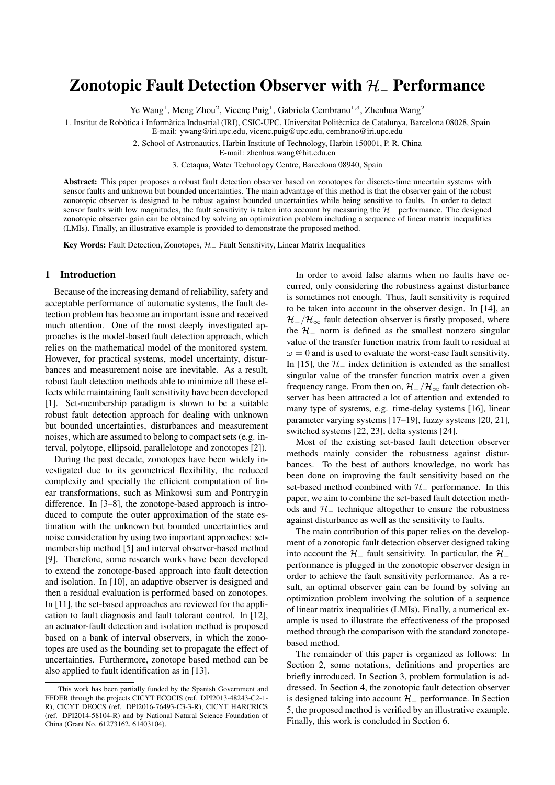# Zonotopic Fault Detection Observer with H<sup>−</sup> Performance

Ye Wang<sup>1</sup>, Meng Zhou<sup>2</sup>, Vicenç Puig<sup>1</sup>, Gabriela Cembrano<sup>1,3</sup>, Zhenhua Wang<sup>2</sup>

1. Institut de Robòtica i Informàtica Industrial (IRI), CSIC-UPC, Universitat Politècnica de Catalunya, Barcelona 08028, Spain

E-mail: ywang@iri.upc.edu, vicenc.puig@upc.edu, cembrano@iri.upc.edu

2. School of Astronautics, Harbin Institute of Technology, Harbin 150001, P. R. China

E-mail: zhenhua.wang@hit.edu.cn

3. Cetaqua, Water Technology Centre, Barcelona 08940, Spain

Abstract: This paper proposes a robust fault detection observer based on zonotopes for discrete-time uncertain systems with sensor faults and unknown but bounded uncertainties. The main advantage of this method is that the observer gain of the robust zonotopic observer is designed to be robust against bounded uncertainties while being sensitive to faults. In order to detect sensor faults with low magnitudes, the fault sensitivity is taken into account by measuring the  $H_$  performance. The designed zonotopic observer gain can be obtained by solving an optimization problem including a sequence of linear matrix inequalities (LMIs). Finally, an illustrative example is provided to demonstrate the proposed method.

Key Words: Fault Detection, Zonotopes, H<sub>−</sub> Fault Sensitivity, Linear Matrix Inequalities

## 1 Introduction

Because of the increasing demand of reliability, safety and acceptable performance of automatic systems, the fault detection problem has become an important issue and received much attention. One of the most deeply investigated approaches is the model-based fault detection approach, which relies on the mathematical model of the monitored system. However, for practical systems, model uncertainty, disturbances and measurement noise are inevitable. As a result, robust fault detection methods able to minimize all these effects while maintaining fault sensitivity have been developed [1]. Set-membership paradigm is shown to be a suitable robust fault detection approach for dealing with unknown but bounded uncertainties, disturbances and measurement noises, which are assumed to belong to compact sets (e.g. interval, polytope, ellipsoid, parallelotope and zonotopes [2]).

During the past decade, zonotopes have been widely investigated due to its geometrical flexibility, the reduced complexity and specially the efficient computation of linear transformations, such as Minkowsi sum and Pontrygin difference. In [3–8], the zonotope-based approach is introduced to compute the outer approximation of the state estimation with the unknown but bounded uncertainties and noise consideration by using two important approaches: setmembership method [5] and interval observer-based method [9]. Therefore, some research works have been developed to extend the zonotope-based approach into fault detection and isolation. In [10], an adaptive observer is designed and then a residual evaluation is performed based on zonotopes. In [11], the set-based approaches are reviewed for the application to fault diagnosis and fault tolerant control. In [12], an actuator-fault detection and isolation method is proposed based on a bank of interval observers, in which the zonotopes are used as the bounding set to propagate the effect of uncertainties. Furthermore, zonotope based method can be also applied to fault identification as in [13].

In order to avoid false alarms when no faults have occurred, only considering the robustness against disturbance is sometimes not enough. Thus, fault sensitivity is required to be taken into account in the observer design. In [14], an  $\mathcal{H}$ <sub>-</sub>/ $\mathcal{H}_{\infty}$  fault detection observer is firstly proposed, where the  $H_$  norm is defined as the smallest nonzero singular value of the transfer function matrix from fault to residual at  $\omega = 0$  and is used to evaluate the worst-case fault sensitivity. In [15], the  $H_$  index definition is extended as the smallest singular value of the transfer function matrix over a given frequency range. From then on,  $\mathcal{H}$  / $\mathcal{H}_{\infty}$  fault detection observer has been attracted a lot of attention and extended to many type of systems, e.g. time-delay systems [16], linear parameter varying systems [17–19], fuzzy systems [20, 21], switched systems [22, 23], delta systems [24].

Most of the existing set-based fault detection observer methods mainly consider the robustness against disturbances. To the best of authors knowledge, no work has been done on improving the fault sensitivity based on the set-based method combined with  $H_$  performance. In this paper, we aim to combine the set-based fault detection methods and  $H_$  technique altogether to ensure the robustness against disturbance as well as the sensitivity to faults.

The main contribution of this paper relies on the development of a zonotopic fault detection observer designed taking into account the  $H_$  fault sensitivity. In particular, the  $H_$ performance is plugged in the zonotopic observer design in order to achieve the fault sensitivity performance. As a result, an optimal observer gain can be found by solving an optimization problem involving the solution of a sequence of linear matrix inequalities (LMIs). Finally, a numerical example is used to illustrate the effectiveness of the proposed method through the comparison with the standard zonotopebased method.

The remainder of this paper is organized as follows: In Section 2, some notations, definitions and properties are briefly introduced. In Section 3, problem formulation is addressed. In Section 4, the zonotopic fault detection observer is designed taking into account  $H_$  performance. In Section 5, the proposed method is verified by an illustrative example. Finally, this work is concluded in Section 6.

This work has been partially funded by the Spanish Government and FEDER through the projects CICYT ECOCIS (ref. DPI2013-48243-C2-1- R), CICYT DEOCS (ref. DPI2016-76493-C3-3-R), CICYT HARCRICS (ref. DPI2014-58104-R) and by National Natural Science Foundation of China (Grant No. 61273162, 61403104).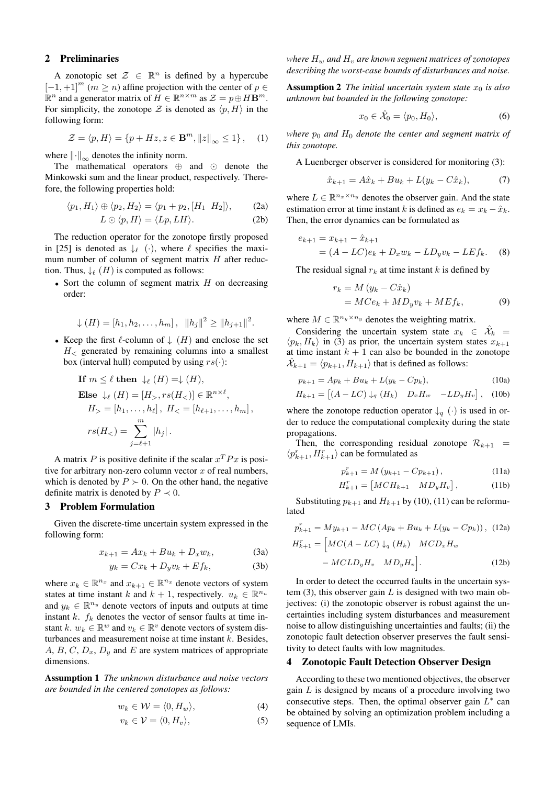# 2 Preliminaries

A zonotopic set  $\mathcal{Z} \in \mathbb{R}^n$  is defined by a hypercube  $[-1, +1]^{m}$   $(m \geq n)$  affine projection with the center of  $p \in$  $\mathbb{R}^n$  and a generator matrix of  $H \in \mathbb{R}^{n \times m}$  as  $\mathcal{Z} = p \oplus H\mathbf{B}^m$ . For simplicity, the zonotope Z is denoted as  $\langle p, H \rangle$  in the following form:

$$
\mathcal{Z} = \langle p, H \rangle = \{ p + Hz, z \in \mathbf{B}^m, ||z||_{\infty} \le 1 \}, \quad (1)
$$

where  $\left\Vert \cdot\right\Vert _{\infty}$  denotes the infinity norm.

The mathematical operators  $\oplus$  and  $\odot$  denote the Minkowski sum and the linear product, respectively. Therefore, the following properties hold:

$$
\langle p_1, H_1 \rangle \oplus \langle p_2, H_2 \rangle = \langle p_1 + p_2, [H_1 \ H_2] \rangle, \tag{2a}
$$

$$
L \odot \langle p, H \rangle = \langle Lp, LH \rangle. \tag{2b}
$$

The reduction operator for the zonotope firstly proposed in [25] is denoted as  $\downarrow_{\ell}$  (·), where  $\ell$  specifies the maximum number of column of segment matrix  $H$  after reduction. Thus,  $\downarrow$  (H) is computed as follows:

• Sort the column of segment matrix  $H$  on decreasing order:

$$
\downarrow (H) = [h_1, h_2, \dots, h_m], \ \ ||h_j||^2 \ge ||h_{j+1}||^2.
$$

• Keep the first  $\ell$ -column of  $\downarrow$   $(H)$  and enclose the set  $H<sub>z</sub>$  generated by remaining columns into a smallest box (interval hull) computed by using  $rs(\cdot)$ :

If 
$$
m \le \ell
$$
 then  $\downarrow_{\ell} (H) = \downarrow (H)$ ,  
\nElse  $\downarrow_{\ell} (H) = [H_{>}, rs(H_{<})] \in \mathbb{R}^{n \times \ell}$ ,  
\n $H_{>} = [h_1, \ldots, h_{\ell}], H_{<} = [h_{\ell+1}, \ldots, h_m],$   
\n $rs(H_{<}) = \sum_{j=\ell+1}^{m} |h_j|$ .

A matrix P is positive definite if the scalar  $x^T P x$  is positive for arbitrary non-zero column vector  $x$  of real numbers, which is denoted by  $P \succ 0$ . On the other hand, the negative definite matrix is denoted by  $P \prec 0$ .

# 3 Problem Formulation

Given the discrete-time uncertain system expressed in the following form:

$$
x_{k+1} = Ax_k + Bu_k + D_x w_k, \tag{3a}
$$

$$
y_k = Cx_k + D_y v_k + Ef_k, \tag{3b}
$$

where  $x_k \in \mathbb{R}^{n_x}$  and  $x_{k+1} \in \mathbb{R}^{n_x}$  denote vectors of system states at time instant k and  $k + 1$ , respectively.  $u_k \in \mathbb{R}^{n_u}$ and  $y_k \in \mathbb{R}^{n_y}$  denote vectors of inputs and outputs at time instant k.  $f_k$  denotes the vector of sensor faults at time instant k.  $w_k \in \mathbb{R}^w$  and  $v_k \in \mathbb{R}^v$  denote vectors of system disturbances and measurement noise at time instant  $k$ . Besides, A, B, C,  $D_x$ ,  $D_y$  and E are system matrices of appropriate dimensions.

Assumption 1 *The unknown disturbance and noise vectors are bounded in the centered zonotopes as follows:*

$$
w_k \in \mathcal{W} = \langle 0, H_w \rangle,\tag{4}
$$

$$
v_k \in \mathcal{V} = \langle 0, H_v \rangle,\tag{5}
$$

*where*  $H_w$  *and*  $H_v$  *are known segment matrices of zonotopes describing the worst-case bounds of disturbances and noise.*

**Assumption 2** *The initial uncertain system state*  $x_0$  *is also unknown but bounded in the following zonotope:*

$$
x_0 \in \hat{\mathcal{X}}_0 = \langle p_0, H_0 \rangle,\tag{6}
$$

*where*  $p_0$  *and*  $H_0$  *denote the center and segment matrix of this zonotope.*

A Luenberger observer is considered for monitoring (3):

$$
\hat{x}_{k+1} = A\hat{x}_k + Bu_k + L(y_k - C\hat{x}_k),
$$
 (7)

where  $L \in \mathbb{R}^{n_x \times n_y}$  denotes the observer gain. And the state estimation error at time instant k is defined as  $e_k = x_k - \hat{x}_k$ . Then, the error dynamics can be formulated as

$$
e_{k+1} = x_{k+1} - \hat{x}_{k+1}
$$
  
=  $(A - LC)e_k + D_x w_k - LD_y v_k - LEf_k.$  (8)

The residual signal  $r_k$  at time instant k is defined by

$$
r_k = M (y_k - C\hat{x}_k)
$$
  
=  $MCe_k + MD_yv_k + MEf_k,$  (9)

where  $M \in \mathbb{R}^{n_y \times n_y}$  denotes the weighting matrix.

Considering the uncertain system state  $x_k \in \hat{\mathcal{X}}_k =$  $\langle p_k, H_k \rangle$  in (3) as prior, the uncertain system states  $x_{k+1}$ at time instant  $k + 1$  can also be bounded in the zonotope  $\hat{\mathcal{X}}_{k+1} = \langle p_{k+1}, H_{k+1} \rangle$  that is defined as follows:

$$
p_{k+1} = Ap_k + Bu_k + L(y_k - Cp_k),
$$
 (10a)

$$
H_{k+1} = [(A - LC) \downarrow_q (H_k) \quad D_x H_w \quad -LD_y H_v], \quad (10b)
$$

where the zonotope reduction operator  $\downarrow_q (\cdot)$  is used in order to reduce the computational complexity during the state propagations.

Then, the corresponding residual zonotope  $\mathcal{R}_{k+1}$  =  $\langle p_{k+1}^r, H_{k+1}^r \rangle$  can be formulated as

$$
p_{k+1}^r = M\left(y_{k+1} - C p_{k+1}\right),\tag{11a}
$$

$$
H_{k+1}^r = \begin{bmatrix} MCH_{k+1} & MD_yH_v \end{bmatrix}, \tag{11b}
$$

Substituting  $p_{k+1}$  and  $H_{k+1}$  by (10), (11) can be reformulated

$$
p_{k+1}^r = My_{k+1} - MC(Ap_k + Bu_k + L(y_k - Cp_k)), \quad (12a)
$$
  

$$
H_{k+1}^r = \left[MC(A - LC) \downarrow_q (H_k) \quad MCD_x H_w - MCLD_y H_v \quad MD_y H_v\right]. \tag{12b}
$$

In order to detect the occurred faults in the uncertain system  $(3)$ , this observer gain L is designed with two main objectives: (i) the zonotopic observer is robust against the uncertainties including system disturbances and measurement noise to allow distinguishing uncertainties and faults; (ii) the zonotopic fault detection observer preserves the fault sensitivity to detect faults with low magnitudes.

#### 4 Zonotopic Fault Detection Observer Design

According to these two mentioned objectives, the observer gain  $L$  is designed by means of a procedure involving two consecutive steps. Then, the optimal observer gain  $L^*$  can be obtained by solving an optimization problem including a sequence of LMIs.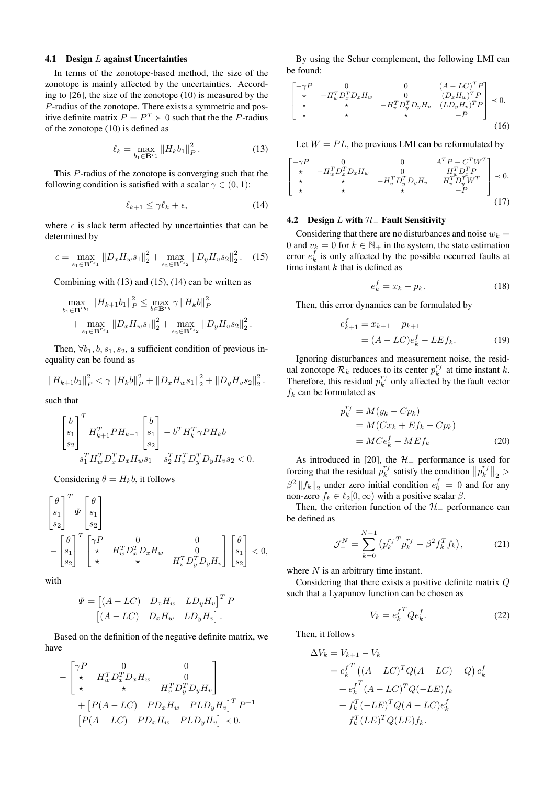#### 4.1 Design L against Uncertainties

In terms of the zonotope-based method, the size of the zonotope is mainly affected by the uncertainties. According to [26], the size of the zonotope (10) is measured by the P-radius of the zonotope. There exists a symmetric and positive definite matrix  $P = P^T \succ 0$  such that the the P-radius of the zonotope (10) is defined as

$$
\ell_k = \max_{b_1 \in \mathbf{B}^{r_1}} \|H_k b_1\|_P^2. \tag{13}
$$

This P-radius of the zonotope is converging such that the following condition is satisfied with a scalar  $\gamma \in (0,1)$ :

$$
\ell_{k+1} \le \gamma \ell_k + \epsilon,\tag{14}
$$

where  $\epsilon$  is slack term affected by uncertainties that can be determined by

$$
\epsilon = \max_{s_1 \in \mathbf{B}^{r_{s_1}}} \|D_x H_w s_1\|_2^2 + \max_{s_2 \in \mathbf{B}^{r_{s_2}}} \|D_y H_v s_2\|_2^2. \tag{15}
$$

Combining with (13) and (15), (14) can be written as

$$
\max_{b_1 \in \mathbf{B}^{r_{b_1}}} \|H_{k+1}b_1\|_P^2 \le \max_{b \in \mathbf{B}^{r_b}} \gamma \|H_k b\|_P^2
$$
  
+ 
$$
\max_{s_1 \in \mathbf{B}^{r_{s_1}}} \|D_x H_w s_1\|_2^2 + \max_{s_2 \in \mathbf{B}^{r_{s_2}}} \|D_y H_v s_2\|_2^2.
$$

Then,  $\forall b_1, b, s_1, s_2$ , a sufficient condition of previous inequality can be found as

$$
||H_{k+1}b_1||_P^2 < \gamma ||H_k b||_P^2 + ||D_x H_w s_1||_2^2 + ||D_y H_v s_2||_2^2.
$$

such that

$$
\begin{bmatrix} b \\ s_1 \\ s_2 \end{bmatrix}^T H_{k+1}^T P H_{k+1} \begin{bmatrix} b \\ s_1 \\ s_2 \end{bmatrix} - b^T H_k^T \gamma P H_k b - s_1^T H_w^T D_x^T D_x H_w s_1 - s_2^T H_v^T D_y^T D_y H_v s_2 < 0.
$$

Considering  $\theta = H_k b$ , it follows

$$
\begin{bmatrix}\n\theta \\
s_1 \\
s_2\n\end{bmatrix}^T \Psi\n\begin{bmatrix}\n\theta \\
s_1 \\
s_2\n\end{bmatrix}
$$
\n
$$
-\begin{bmatrix}\n\theta \\
s_1 \\
s_2\n\end{bmatrix}^T \begin{bmatrix}\n\gamma P & 0 & 0 \\
\star & H_w^T D_x^T D_x H_w & 0 \\
\star & \star & H_v^T D_y^T D_y H_v\n\end{bmatrix} \begin{bmatrix}\n\theta \\
s_1 \\
s_2\n\end{bmatrix} < 0,
$$

with

$$
\Psi = \begin{bmatrix} (A - LC) & D_x H_w & LD_y H_v \end{bmatrix}^T P \n\begin{bmatrix} (A - LC) & D_x H_w & LD_y H_v \end{bmatrix}.
$$

Based on the definition of the negative definite matrix, we have

$$
-\begin{bmatrix}\n\gamma P & 0 & 0 \\
\star & H_w^T D_x^T D_x H_w & 0 \\
\star & \star & H_v^T D_y^T D_y H_v\n\end{bmatrix} + \begin{bmatrix}P(A - LC) & PD_x H_w & PLD_y H_v\end{bmatrix}^T P^{-1}
$$
\n
$$
\begin{bmatrix}P(A - LC) & PD_x H_w & PLD_y H_v\end{bmatrix} \prec 0.
$$

By using the Schur complement, the following LMI can be found:

$$
\begin{bmatrix}\n-\gamma P & 0 & 0 & (A - LC)^T P \\
\star & -H_w^T D_x^T D_x H_w & 0 & (D_x H_w)^T P \\
\star & \star & -H_v^T D_y^T D_y H_v & (LD_y H_v)^T P \\
\star & \star & \star & -P\n\end{bmatrix} \prec 0.
$$
\n(16)

Let  $W = PL$ , the previous LMI can be reformulated by

$$
\begin{bmatrix}\n-\gamma P & 0 & 0 & A^T P - C^T W^T \\
\star & -H_w^T D_x^T D_x H_w & 0 & H_w^T D_x^T P \\
\star & \star & -H_v^T D_y^T D_y H_v & H_v^T D_y^T W^T \\
\star & \star & \star & -P\n\end{bmatrix} \prec 0.
$$
\n(17)

# 4.2 Design  $L$  with  $H_$  Fault Sensitivity

Considering that there are no disturbances and noise  $w_k =$ 0 and  $v_k = 0$  for  $k \in \mathbb{N}_+$  in the system, the state estimation error  $e_k^f$  is only affected by the possible occurred faults at time instant  $k$  that is defined as

$$
e_k^f = x_k - p_k. \tag{18}
$$

Then, this error dynamics can be formulated by

$$
e_{k+1}^f = x_{k+1} - p_{k+1}
$$
  
=  $(A - LC)e_k^f - LEf_k.$  (19)

Ignoring disturbances and measurement noise, the residual zonotope  $\mathcal{R}_k$  reduces to its center  $p_k^{r_f}$  at time instant k. Therefore, this residual  $p_k^{r_f}$  only affected by the fault vector  $f_k$  can be formulated as

$$
p_k^{r_f} = M(y_k - Cp_k)
$$
  
=  $M(Cx_k + Ef_k - Cp_k)$   
=  $MCe_k^f + MEf_k$  (20)

As introduced in [20], the  $H_$  performance is used for forcing that the residual  $p_k^{r_f}$  satisfy the condition  $||p_k^{r_f}||_2 >$  $\beta^2 ||f_k||_2$  under zero initial condition  $e_0^f = 0$  and for any non-zero  $f_k \in \ell_2[0, \infty)$  with a positive scalar  $\beta$ .

Then, the criterion function of the  $H_$  performance can be defined as

$$
\mathcal{J}_{-}^{N} = \sum_{k=0}^{N-1} (p_{k}^{r_{f}}^{T} p_{k}^{r_{f}} - \beta^{2} f_{k}^{T} f_{k}), \qquad (21)
$$

where  $N$  is an arbitrary time instant.

Considering that there exists a positive definite matrix Q such that a Lyapunov function can be chosen as

$$
V_k = e_k^{f^T} Q e_k^f. \tag{22}
$$

Then, it follows

$$
\Delta V_k = V_{k+1} - V_k
$$
  
=  $e_k^f$ <sup>T</sup> ((A – LC)<sup>T</sup>Q(A – LC) – Q)  $e_k^f$   
+  $e_k^f$ <sup>T</sup> (A – LC)<sup>T</sup>Q(-LE)  $f_k$   
+  $f_k^T$ (–LE)<sup>T</sup>Q(A – LC)  $e_k^f$   
+  $f_k^T$ (LE)<sup>T</sup>Q(LE)  $f_k$ .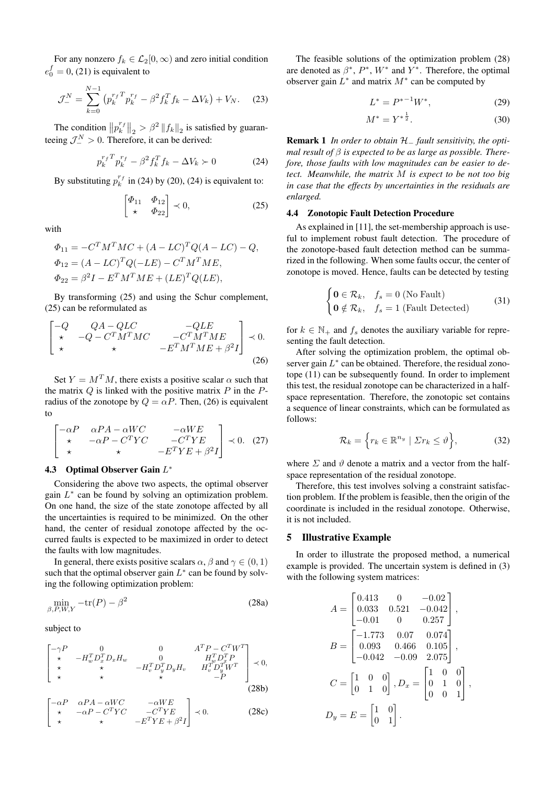For any nonzero  $f_k \in \mathcal{L}_2[0,\infty)$  and zero initial condition  $e_0^f = 0$ , (21) is equivalent to

$$
\mathcal{J}_{-}^{N} = \sum_{k=0}^{N-1} \left( p_{k}^{r_{f}}^{T} p_{k}^{r_{f}} - \beta^{2} f_{k}^{T} f_{k} - \Delta V_{k} \right) + V_{N}.
$$
 (23)

The condition  $||p_k^{r_f}||_2 > \beta^2 ||f_k||_2$  is satisfied by guaranteeing  $\mathcal{J}_-^N > 0$ . Therefore, it can be derived:

$$
p_k^{rf}^T p_k^{rf} - \beta^2 f_k^T f_k - \Delta V_k \succ 0 \tag{24}
$$

By substituting  $p_k^{r_f}$  in (24) by (20), (24) is equivalent to:

$$
\begin{bmatrix} \Phi_{11} & \Phi_{12} \\ \star & \Phi_{22} \end{bmatrix} \prec 0, \tag{25}
$$

with

$$
\Phi_{11} = -C^{T} M^{T} M C + (A - LC)^{T} Q (A - LC) - Q,
$$
  
\n
$$
\Phi_{12} = (A - LC)^{T} Q (-LE) - C^{T} M^{T} M E,
$$
  
\n
$$
\Phi_{22} = \beta^{2} I - E^{T} M^{T} M E + (LE)^{T} Q (LE),
$$

By transforming (25) and using the Schur complement, (25) can be reformulated as

$$
\begin{bmatrix}\n-Q & QA - QLC & -QLE \\
\star & -Q - C^T M^T MC & -C^T M^T ME \\
\star & \star & -E^T M^T ME + \beta^2 I\n\end{bmatrix} \prec 0.
$$
\n(26)

Set  $Y = M<sup>T</sup>M$ , there exists a positive scalar  $\alpha$  such that the matrix  $Q$  is linked with the positive matrix  $P$  in the  $P$ radius of the zonotope by  $Q = \alpha P$ . Then, (26) is equivalent to

$$
\begin{bmatrix}\n-\alpha P & \alpha P A - \alpha W C & -\alpha W E \\
\star & -\alpha P - C^T Y C & -C^T Y E \\
\star & \star & -E^T Y E + \beta^2 I\n\end{bmatrix} \prec 0.
$$
 (27)

# 4.3 Optimal Observer Gain  $L^*$

Considering the above two aspects, the optimal observer gain  $L^*$  can be found by solving an optimization problem. On one hand, the size of the state zonotope affected by all the uncertainties is required to be minimized. On the other hand, the center of residual zonotope affected by the occurred faults is expected to be maximized in order to detect the faults with low magnitudes.

In general, there exists positive scalars  $\alpha$ ,  $\beta$  and  $\gamma \in (0,1)$ such that the optimal observer gain  $L^*$  can be found by solving the following optimization problem:

$$
\min_{\beta, P, W, Y} -\text{tr}(P) - \beta^2 \tag{28a}
$$

subject to

$$
\begin{bmatrix}\n-\gamma P & 0 & 0 & A^T P - C^T W^T \\
\star & -H_w^T D_x^T D_x H_w & 0 & H_w^T D_x^T P \\
\star & \star & -H_v^T D_y^T D_y H_v & H_v^T D_y^T W^T \\
\star & \star & \star & -P\n\end{bmatrix} \prec 0,
$$
\n(28b)

$$
\begin{bmatrix}\n-\alpha P & \alpha P A - \alpha W C & -\alpha W E \\
\star & -\alpha P - C^T Y C & -C^T Y E \\
\star & \star & -E^T Y E + \beta^2 I\n\end{bmatrix} \prec 0.
$$
\n(28c)

The feasible solutions of the optimization problem (28) are denoted as  $\beta^*$ ,  $P^*$ ,  $W^*$  and  $Y^*$ . Therefore, the optimal observer gain  $L^*$  and matrix  $M^*$  can be computed by

$$
L^* = P^{*-1}W^*,\tag{29}
$$

$$
M^* = Y^{*\frac{1}{2}}.\t(30)
$$

Remark 1 *In order to obtain* H<sup>−</sup> *fault sensitivity, the optimal result of* β *is expected to be as large as possible. Therefore, those faults with low magnitudes can be easier to detect. Meanwhile, the matrix* M *is expect to be not too big in case that the effects by uncertainties in the residuals are enlarged.*

#### 4.4 Zonotopic Fault Detection Procedure

As explained in [11], the set-membership approach is useful to implement robust fault detection. The procedure of the zonotope-based fault detection method can be summarized in the following. When some faults occur, the center of zonotope is moved. Hence, faults can be detected by testing

$$
\begin{cases} \n\mathbf{0} \in \mathcal{R}_k, & f_s = 0 \text{ (No Fault)} \\ \n\mathbf{0} \notin \mathcal{R}_k, & f_s = 1 \text{ (Fault detected)} \n\end{cases} \tag{31}
$$

for  $k \in \mathbb{N}_+$  and  $f_s$  denotes the auxiliary variable for representing the fault detection.

After solving the optimization problem, the optimal observer gain  $L^*$  can be obtained. Therefore, the residual zonotope (11) can be subsequently found. In order to implement this test, the residual zonotope can be characterized in a halfspace representation. Therefore, the zonotopic set contains a sequence of linear constraints, which can be formulated as follows:

$$
\mathcal{R}_k = \left\{ r_k \in \mathbb{R}^{n_y} \mid \Sigma r_k \le \vartheta \right\},\tag{32}
$$

where  $\Sigma$  and  $\vartheta$  denote a matrix and a vector from the halfspace representation of the residual zonotope.

Therefore, this test involves solving a constraint satisfaction problem. If the problem is feasible, then the origin of the coordinate is included in the residual zonotope. Otherwise, it is not included.

### 5 Illustrative Example

In order to illustrate the proposed method, a numerical example is provided. The uncertain system is defined in (3) with the following system matrices:

$$
A = \begin{bmatrix} 0.413 & 0 & -0.02 \\ 0.033 & 0.521 & -0.042 \\ -0.01 & 0 & 0.257 \end{bmatrix},
$$
  
\n
$$
B = \begin{bmatrix} -1.773 & 0.07 & 0.074 \\ 0.093 & 0.466 & 0.105 \\ -0.042 & -0.09 & 2.075 \end{bmatrix},
$$
  
\n
$$
C = \begin{bmatrix} 1 & 0 & 0 \\ 0 & 1 & 0 \end{bmatrix}, D_x = \begin{bmatrix} 1 & 0 & 0 \\ 0 & 1 & 0 \\ 0 & 0 & 1 \end{bmatrix},
$$
  
\n
$$
D_y = E = \begin{bmatrix} 1 & 0 \\ 0 & 1 \end{bmatrix}.
$$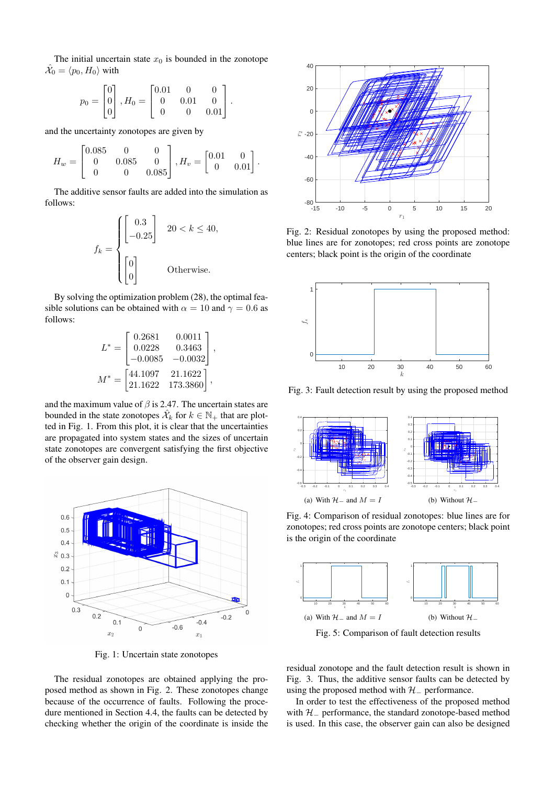The initial uncertain state  $x_0$  is bounded in the zonotope  $\hat{\mathcal{X}_0} = \langle p_0, H_0 \rangle$  with

$$
p_0 = \begin{bmatrix} 0 \\ 0 \\ 0 \end{bmatrix}, H_0 = \begin{bmatrix} 0.01 & 0 & 0 \\ 0 & 0.01 & 0 \\ 0 & 0 & 0.01 \end{bmatrix}.
$$

and the uncertainty zonotopes are given by

$$
H_w = \begin{bmatrix} 0.085 & 0 & 0 \\ 0 & 0.085 & 0 \\ 0 & 0 & 0.085 \end{bmatrix}, H_v = \begin{bmatrix} 0.01 & 0 \\ 0 & 0.01 \end{bmatrix}.
$$

The additive sensor faults are added into the simulation as follows:

$$
f_k = \begin{cases} \begin{bmatrix} 0.3\\ -0.25 \end{bmatrix} & 20 < k \le 40, \\ \begin{bmatrix} 0\\ 0 \end{bmatrix} & \text{Otherwise.} \end{cases}
$$

By solving the optimization problem (28), the optimal feasible solutions can be obtained with  $\alpha = 10$  and  $\gamma = 0.6$  as follows:

$$
L^* = \begin{bmatrix} 0.2681 & 0.0011 \\ 0.0228 & 0.3463 \\ -0.0085 & -0.0032 \end{bmatrix},
$$
  

$$
M^* = \begin{bmatrix} 44.1097 & 21.1622 \\ 21.1622 & 173.3860 \end{bmatrix},
$$

and the maximum value of  $\beta$  is 2.47. The uncertain states are bounded in the state zonotopes  $\hat{\mathcal{X}}_k$  for  $k \in \mathbb{N}_+$  that are plotted in Fig. 1. From this plot, it is clear that the uncertainties are propagated into system states and the sizes of uncertain state zonotopes are convergent satisfying the first objective of the observer gain design.



Fig. 1: Uncertain state zonotopes

The residual zonotopes are obtained applying the proposed method as shown in Fig. 2. These zonotopes change because of the occurrence of faults. Following the procedure mentioned in Section 4.4, the faults can be detected by checking whether the origin of the coordinate is inside the



Fig. 2: Residual zonotopes by using the proposed method: blue lines are for zonotopes; red cross points are zonotope centers; black point is the origin of the coordinate



Fig. 3: Fault detection result by using the proposed method



Fig. 4: Comparison of residual zonotopes: blue lines are for zonotopes; red cross points are zonotope centers; black point is the origin of the coordinate



Fig. 5: Comparison of fault detection results

residual zonotope and the fault detection result is shown in Fig. 3. Thus, the additive sensor faults can be detected by using the proposed method with  $H_$  performance.

In order to test the effectiveness of the proposed method with  $H_$  performance, the standard zonotope-based method is used. In this case, the observer gain can also be designed